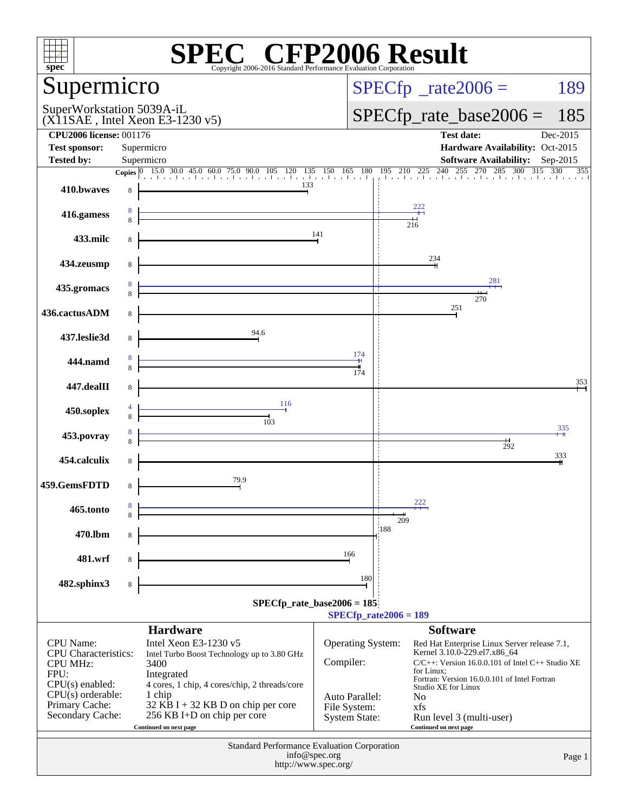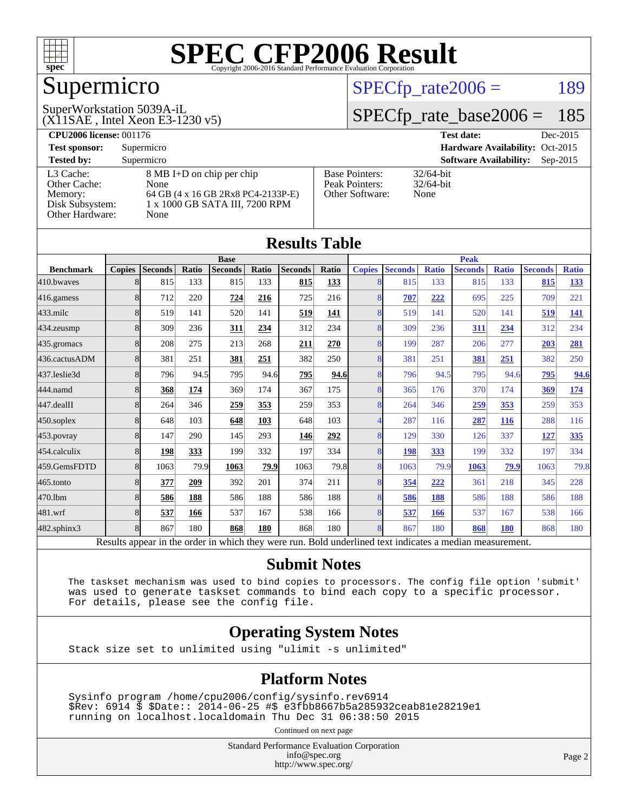

## Supermicro

#### SuperWorkstation 5039A-iL

 $SPECTp\_rate2006 = 189$ 

## [SPECfp\\_rate\\_base2006 =](http://www.spec.org/auto/cpu2006/Docs/result-fields.html#SPECfpratebase2006) 185

(X11SAE , Intel Xeon E3-1230 v5)

**[CPU2006 license:](http://www.spec.org/auto/cpu2006/Docs/result-fields.html#CPU2006license)** 001176 **[Test date:](http://www.spec.org/auto/cpu2006/Docs/result-fields.html#Testdate)** Dec-2015 **[Test sponsor:](http://www.spec.org/auto/cpu2006/Docs/result-fields.html#Testsponsor)** Supermicro **[Hardware Availability:](http://www.spec.org/auto/cpu2006/Docs/result-fields.html#HardwareAvailability)** Oct-2015 **[Tested by:](http://www.spec.org/auto/cpu2006/Docs/result-fields.html#Testedby)** Supermicro **Supermicro [Software Availability:](http://www.spec.org/auto/cpu2006/Docs/result-fields.html#SoftwareAvailability)** Sep-2015 [L3 Cache:](http://www.spec.org/auto/cpu2006/Docs/result-fields.html#L3Cache) 8 MB I+D on chip per chip<br>Other Cache: None [Other Cache:](http://www.spec.org/auto/cpu2006/Docs/result-fields.html#OtherCache) [Memory:](http://www.spec.org/auto/cpu2006/Docs/result-fields.html#Memory) 64 GB (4 x 16 GB 2Rx8 PC4-2133P-E) [Disk Subsystem:](http://www.spec.org/auto/cpu2006/Docs/result-fields.html#DiskSubsystem) 1 x 1000 GB SATA III, 7200 RPM [Other Hardware:](http://www.spec.org/auto/cpu2006/Docs/result-fields.html#OtherHardware) None [Base Pointers:](http://www.spec.org/auto/cpu2006/Docs/result-fields.html#BasePointers) 32/64-bit<br>Peak Pointers: 32/64-bit [Peak Pointers:](http://www.spec.org/auto/cpu2006/Docs/result-fields.html#PeakPointers) [Other Software:](http://www.spec.org/auto/cpu2006/Docs/result-fields.html#OtherSoftware) None

**[Results Table](http://www.spec.org/auto/cpu2006/Docs/result-fields.html#ResultsTable)**

|                   |               |                                                                                                          |       |                |       | Results Table  |              |               |                |              |                |              |                |              |
|-------------------|---------------|----------------------------------------------------------------------------------------------------------|-------|----------------|-------|----------------|--------------|---------------|----------------|--------------|----------------|--------------|----------------|--------------|
|                   |               |                                                                                                          |       | <b>Base</b>    |       |                |              |               |                |              | <b>Peak</b>    |              |                |              |
| <b>Benchmark</b>  | <b>Copies</b> | <b>Seconds</b>                                                                                           | Ratio | <b>Seconds</b> | Ratio | <b>Seconds</b> | <b>Ratio</b> | <b>Copies</b> | <b>Seconds</b> | <b>Ratio</b> | <b>Seconds</b> | <b>Ratio</b> | <b>Seconds</b> | <b>Ratio</b> |
| 410.bwayes        | 8             | 815                                                                                                      | 133   | 815            | 133   | 815            | 133          |               | 815            | 133          | 815            | 133          | 815            | <u>133</u>   |
| 416.gamess        | 8             | 712                                                                                                      | 220   | 724            | 216   | 725            | 216          | 8             | 707            | 222          | 695            | 225          | 709            | 221          |
| $433$ .milc       | 8             | 519                                                                                                      | 141   | 520            | 141   | 519            | 141          | 8             | 519            | 141          | 520            | 141          | 519            | <u>141</u>   |
| 434.zeusmp        | 8             | 309                                                                                                      | 236   | 311            | 234   | 312            | 234          | 8             | 309            | 236          | 311            | 234          | 312            | 234          |
| 435.gromacs       | 8             | 208                                                                                                      | 275   | 213            | 268   | 211            | 270          | 8             | 199            | 287          | 206            | 277          | 203            | 281          |
| 436.cactusADM     | 8             | 381                                                                                                      | 251   | 381            | 251   | 382            | 250          | 8             | 381            | 251          | <b>381</b>     | 251          | 382            | 250          |
| 437.leslie3d      | 8             | 796                                                                                                      | 94.5  | 795            | 94.6  | 795            | 94.6         | 8             | 796            | 94.5         | 795            | 94.6         | 795            | 94.6         |
| 444.namd          | 8             | 368                                                                                                      | 174   | 369            | 174   | 367            | 175          | 8             | 365            | 176          | 370            | 174          | 369            | <u>174</u>   |
| 447.dealII        | 8             | 264                                                                                                      | 346   | 259            | 353   | 259            | 353          | 8             | 264            | 346          | 259            | 353          | 259            | 353          |
| $450$ .soplex     | 8             | 648                                                                                                      | 103   | 648            | 103   | 648            | 103          |               | 287            | 116          | 287            | 116          | 288            | 116          |
| 453.povray        | 8             | 147                                                                                                      | 290   | 145            | 293   | 146            | 292          | 8             | 129            | 330          | 126            | 337          | 127            | 335          |
| 454.calculix      | 8             | 198                                                                                                      | 333   | 199            | 332   | 197            | 334          | 8             | 198            | 333          | 199            | 332          | 197            | 334          |
| 459.GemsFDTD      | 8             | 1063                                                                                                     | 79.9  | 1063           | 79.9  | 1063           | 79.8         | 8             | 1063           | 79.9         | 1063           | 79.9         | 1063           | 79.8         |
| $465$ .tonto      | 8             | 377                                                                                                      | 209   | 392            | 201   | 374            | 211          | 8             | 354            | 222          | 361            | 218          | 345            | 228          |
| 470.1bm           | 8             | 586                                                                                                      | 188   | 586            | 188   | 586            | 188          | 8             | 586            | 188          | 586            | 188          | 586            | 188          |
| 481.wrf           | 8             | 537                                                                                                      | 166   | 537            | 167   | 538            | 166          | 8             | 537            | 166          | 537            | 167          | 538            | 166          |
| $482$ .sphinx $3$ | 8             | 867                                                                                                      | 180   | 868            | 180   | 868            | 180          | 8             | 867            | 180          | 868            | 180          | 868            | 180          |
|                   |               | Results appear in the order in which they were run. Bold underlined text indicates a median measurement. |       |                |       |                |              |               |                |              |                |              |                |              |

#### **[Submit Notes](http://www.spec.org/auto/cpu2006/Docs/result-fields.html#SubmitNotes)**

 The taskset mechanism was used to bind copies to processors. The config file option 'submit' was used to generate taskset commands to bind each copy to a specific processor. For details, please see the config file.

#### **[Operating System Notes](http://www.spec.org/auto/cpu2006/Docs/result-fields.html#OperatingSystemNotes)**

Stack size set to unlimited using "ulimit -s unlimited"

#### **[Platform Notes](http://www.spec.org/auto/cpu2006/Docs/result-fields.html#PlatformNotes)**

 Sysinfo program /home/cpu2006/config/sysinfo.rev6914 \$Rev: 6914 \$ \$Date:: 2014-06-25 #\$ e3fbb8667b5a285932ceab81e28219e1 running on localhost.localdomain Thu Dec 31 06:38:50 2015

Continued on next page

Standard Performance Evaluation Corporation [info@spec.org](mailto:info@spec.org) <http://www.spec.org/>

Page 2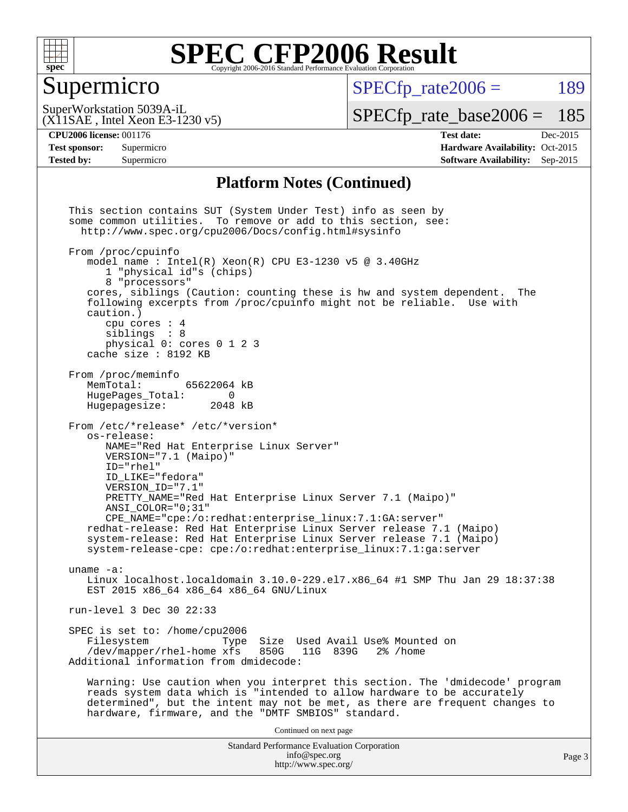

### Supermicro

 $SPECTp\_rate2006 = 189$ 

(X11SAE , Intel Xeon E3-1230 v5) SuperWorkstation 5039A-iL

[SPECfp\\_rate\\_base2006 =](http://www.spec.org/auto/cpu2006/Docs/result-fields.html#SPECfpratebase2006) 185

**[CPU2006 license:](http://www.spec.org/auto/cpu2006/Docs/result-fields.html#CPU2006license)** 001176 **[Test date:](http://www.spec.org/auto/cpu2006/Docs/result-fields.html#Testdate)** Dec-2015 **[Test sponsor:](http://www.spec.org/auto/cpu2006/Docs/result-fields.html#Testsponsor)** Supermicro Supermicro **[Hardware Availability:](http://www.spec.org/auto/cpu2006/Docs/result-fields.html#HardwareAvailability)** Oct-2015 **[Tested by:](http://www.spec.org/auto/cpu2006/Docs/result-fields.html#Testedby)** Supermicro **Supermicro [Software Availability:](http://www.spec.org/auto/cpu2006/Docs/result-fields.html#SoftwareAvailability)** Sep-2015

#### **[Platform Notes \(Continued\)](http://www.spec.org/auto/cpu2006/Docs/result-fields.html#PlatformNotes)**

Standard Performance Evaluation Corporation [info@spec.org](mailto:info@spec.org) <http://www.spec.org/> Page 3 This section contains SUT (System Under Test) info as seen by some common utilities. To remove or add to this section, see: <http://www.spec.org/cpu2006/Docs/config.html#sysinfo> From /proc/cpuinfo model name : Intel $(R)$  Xeon $(R)$  CPU E3-1230 v5 @ 3.40GHz 1 "physical id"s (chips) 8 "processors" cores, siblings (Caution: counting these is hw and system dependent. The following excerpts from /proc/cpuinfo might not be reliable. Use with caution.) cpu cores : 4 siblings : 8 physical 0: cores 0 1 2 3 cache size : 8192 KB From /proc/meminfo MemTotal: 65622064 kB<br>HugePages Total: 0 HugePages\_Total: 0<br>Hugepagesize: 2048 kB Hugepagesize: From /etc/\*release\* /etc/\*version\* os-release: NAME="Red Hat Enterprise Linux Server" VERSION="7.1 (Maipo)" ID="rhel" ID\_LIKE="fedora" VERSION\_ID="7.1" PRETTY\_NAME="Red Hat Enterprise Linux Server 7.1 (Maipo)" ANSI\_COLOR="0;31" CPE\_NAME="cpe:/o:redhat:enterprise\_linux:7.1:GA:server" redhat-release: Red Hat Enterprise Linux Server release 7.1 (Maipo) system-release: Red Hat Enterprise Linux Server release 7.1 (Maipo) system-release-cpe: cpe:/o:redhat:enterprise\_linux:7.1:ga:server uname -a: Linux localhost.localdomain 3.10.0-229.el7.x86\_64 #1 SMP Thu Jan 29 18:37:38 EST 2015 x86\_64 x86\_64 x86\_64 GNU/Linux run-level 3 Dec 30 22:33 SPEC is set to: /home/cpu2006<br>Filesystem Type Type Size Used Avail Use% Mounted on<br>xfs 850G 11G 839G 2% /home /dev/mapper/rhel-home xfs 850G Additional information from dmidecode: Warning: Use caution when you interpret this section. The 'dmidecode' program reads system data which is "intended to allow hardware to be accurately determined", but the intent may not be met, as there are frequent changes to hardware, firmware, and the "DMTF SMBIOS" standard. Continued on next page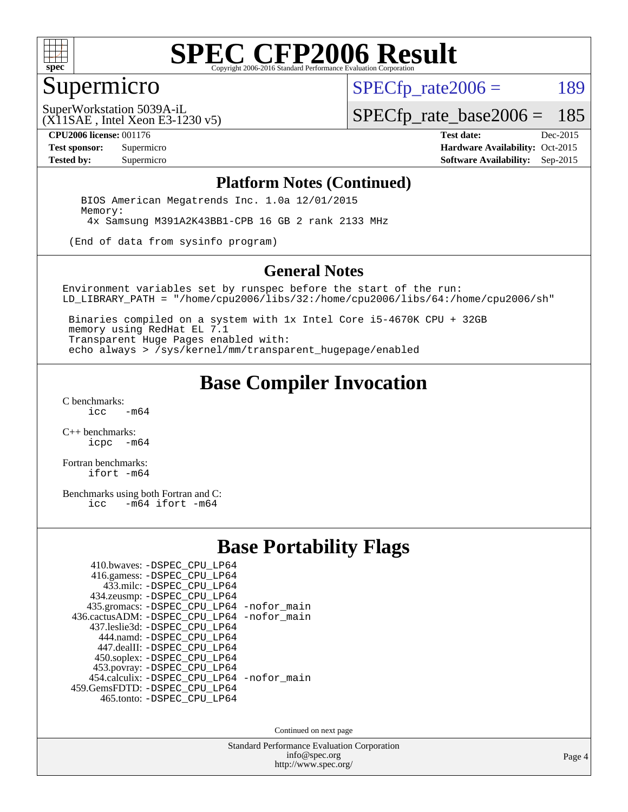

#### Supermicro

 $SPECTp\_rate2006 = 189$ 

(X11SAE , Intel Xeon E3-1230 v5) SuperWorkstation 5039A-iL

[SPECfp\\_rate\\_base2006 =](http://www.spec.org/auto/cpu2006/Docs/result-fields.html#SPECfpratebase2006) 185

**[CPU2006 license:](http://www.spec.org/auto/cpu2006/Docs/result-fields.html#CPU2006license)** 001176 **[Test date:](http://www.spec.org/auto/cpu2006/Docs/result-fields.html#Testdate)** Dec-2015 **[Test sponsor:](http://www.spec.org/auto/cpu2006/Docs/result-fields.html#Testsponsor)** Supermicro Supermicro **[Hardware Availability:](http://www.spec.org/auto/cpu2006/Docs/result-fields.html#HardwareAvailability)** Oct-2015 **[Tested by:](http://www.spec.org/auto/cpu2006/Docs/result-fields.html#Testedby)** Supermicro **Supermicro [Software Availability:](http://www.spec.org/auto/cpu2006/Docs/result-fields.html#SoftwareAvailability)** Sep-2015

#### **[Platform Notes \(Continued\)](http://www.spec.org/auto/cpu2006/Docs/result-fields.html#PlatformNotes)**

 BIOS American Megatrends Inc. 1.0a 12/01/2015 Memory: 4x Samsung M391A2K43BB1-CPB 16 GB 2 rank 2133 MHz

(End of data from sysinfo program)

#### **[General Notes](http://www.spec.org/auto/cpu2006/Docs/result-fields.html#GeneralNotes)**

Environment variables set by runspec before the start of the run: LD\_LIBRARY\_PATH = "/home/cpu2006/libs/32:/home/cpu2006/libs/64:/home/cpu2006/sh"

 Binaries compiled on a system with 1x Intel Core i5-4670K CPU + 32GB memory using RedHat EL 7.1 Transparent Huge Pages enabled with: echo always > /sys/kernel/mm/transparent\_hugepage/enabled

#### **[Base Compiler Invocation](http://www.spec.org/auto/cpu2006/Docs/result-fields.html#BaseCompilerInvocation)**

[C benchmarks](http://www.spec.org/auto/cpu2006/Docs/result-fields.html#Cbenchmarks):  $-m64$ 

[C++ benchmarks:](http://www.spec.org/auto/cpu2006/Docs/result-fields.html#CXXbenchmarks) [icpc -m64](http://www.spec.org/cpu2006/results/res2016q1/cpu2006-20160106-38583.flags.html#user_CXXbase_intel_icpc_64bit_bedb90c1146cab66620883ef4f41a67e)

[Fortran benchmarks](http://www.spec.org/auto/cpu2006/Docs/result-fields.html#Fortranbenchmarks): [ifort -m64](http://www.spec.org/cpu2006/results/res2016q1/cpu2006-20160106-38583.flags.html#user_FCbase_intel_ifort_64bit_ee9d0fb25645d0210d97eb0527dcc06e)

[Benchmarks using both Fortran and C](http://www.spec.org/auto/cpu2006/Docs/result-fields.html#BenchmarksusingbothFortranandC):<br>icc -m64 ifort -m64  $-m64$  ifort  $-m64$ 

#### **[Base Portability Flags](http://www.spec.org/auto/cpu2006/Docs/result-fields.html#BasePortabilityFlags)**

| 410.bwaves: -DSPEC CPU LP64                 |  |
|---------------------------------------------|--|
| 416.gamess: -DSPEC_CPU_LP64                 |  |
| 433.milc: -DSPEC CPU LP64                   |  |
| 434.zeusmp: -DSPEC_CPU_LP64                 |  |
| 435.gromacs: -DSPEC_CPU_LP64 -nofor_main    |  |
| 436.cactusADM: -DSPEC CPU LP64 -nofor main  |  |
| 437.leslie3d: -DSPEC CPU LP64               |  |
| 444.namd: -DSPEC CPU LP64                   |  |
| 447.dealII: -DSPEC_CPU_LP64                 |  |
| 450.soplex: -DSPEC_CPU_LP64                 |  |
| 453.povray: -DSPEC_CPU_LP64                 |  |
| 454.calculix: - DSPEC CPU LP64 - nofor main |  |
| 459. GemsFDTD: - DSPEC CPU LP64             |  |
| 465.tonto: -DSPEC_CPU_LP64                  |  |

Continued on next page

Standard Performance Evaluation Corporation [info@spec.org](mailto:info@spec.org) <http://www.spec.org/>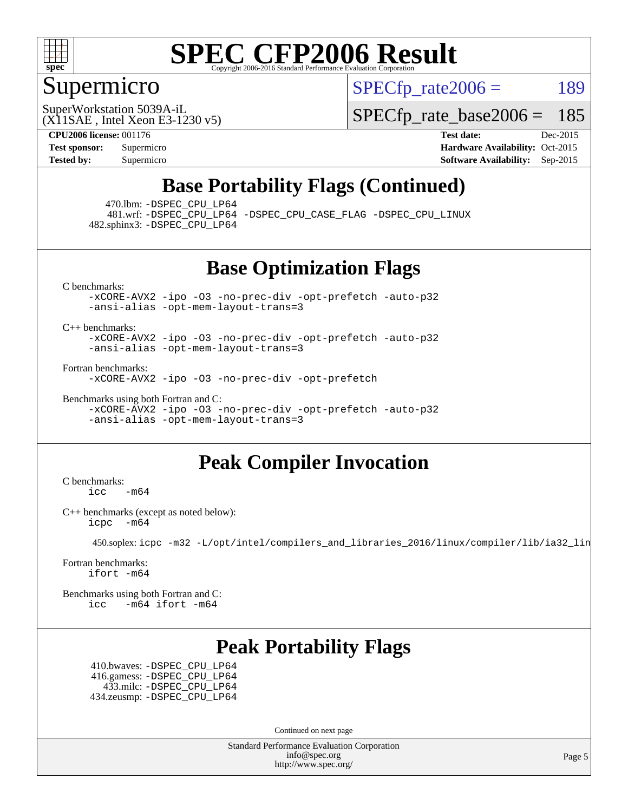

### Supermicro

 $SPECTp\_rate2006 = 189$ 

(X11SAE , Intel Xeon E3-1230 v5) SuperWorkstation 5039A-iL

[SPECfp\\_rate\\_base2006 =](http://www.spec.org/auto/cpu2006/Docs/result-fields.html#SPECfpratebase2006) 185

**[CPU2006 license:](http://www.spec.org/auto/cpu2006/Docs/result-fields.html#CPU2006license)** 001176 **[Test date:](http://www.spec.org/auto/cpu2006/Docs/result-fields.html#Testdate)** Dec-2015 **[Test sponsor:](http://www.spec.org/auto/cpu2006/Docs/result-fields.html#Testsponsor)** Supermicro Supermicro **[Hardware Availability:](http://www.spec.org/auto/cpu2006/Docs/result-fields.html#HardwareAvailability)** Oct-2015 **[Tested by:](http://www.spec.org/auto/cpu2006/Docs/result-fields.html#Testedby)** Supermicro **Supermicro [Software Availability:](http://www.spec.org/auto/cpu2006/Docs/result-fields.html#SoftwareAvailability)** Sep-2015

## **[Base Portability Flags \(Continued\)](http://www.spec.org/auto/cpu2006/Docs/result-fields.html#BasePortabilityFlags)**

470.lbm: [-DSPEC\\_CPU\\_LP64](http://www.spec.org/cpu2006/results/res2016q1/cpu2006-20160106-38583.flags.html#suite_basePORTABILITY470_lbm_DSPEC_CPU_LP64)

 481.wrf: [-DSPEC\\_CPU\\_LP64](http://www.spec.org/cpu2006/results/res2016q1/cpu2006-20160106-38583.flags.html#suite_basePORTABILITY481_wrf_DSPEC_CPU_LP64) [-DSPEC\\_CPU\\_CASE\\_FLAG](http://www.spec.org/cpu2006/results/res2016q1/cpu2006-20160106-38583.flags.html#b481.wrf_baseCPORTABILITY_DSPEC_CPU_CASE_FLAG) [-DSPEC\\_CPU\\_LINUX](http://www.spec.org/cpu2006/results/res2016q1/cpu2006-20160106-38583.flags.html#b481.wrf_baseCPORTABILITY_DSPEC_CPU_LINUX) 482.sphinx3: [-DSPEC\\_CPU\\_LP64](http://www.spec.org/cpu2006/results/res2016q1/cpu2006-20160106-38583.flags.html#suite_basePORTABILITY482_sphinx3_DSPEC_CPU_LP64)

#### **[Base Optimization Flags](http://www.spec.org/auto/cpu2006/Docs/result-fields.html#BaseOptimizationFlags)**

[C benchmarks](http://www.spec.org/auto/cpu2006/Docs/result-fields.html#Cbenchmarks):

[-xCORE-AVX2](http://www.spec.org/cpu2006/results/res2016q1/cpu2006-20160106-38583.flags.html#user_CCbase_f-xAVX2_5f5fc0cbe2c9f62c816d3e45806c70d7) [-ipo](http://www.spec.org/cpu2006/results/res2016q1/cpu2006-20160106-38583.flags.html#user_CCbase_f-ipo) [-O3](http://www.spec.org/cpu2006/results/res2016q1/cpu2006-20160106-38583.flags.html#user_CCbase_f-O3) [-no-prec-div](http://www.spec.org/cpu2006/results/res2016q1/cpu2006-20160106-38583.flags.html#user_CCbase_f-no-prec-div) [-opt-prefetch](http://www.spec.org/cpu2006/results/res2016q1/cpu2006-20160106-38583.flags.html#user_CCbase_f-opt-prefetch) [-auto-p32](http://www.spec.org/cpu2006/results/res2016q1/cpu2006-20160106-38583.flags.html#user_CCbase_f-auto-p32) [-ansi-alias](http://www.spec.org/cpu2006/results/res2016q1/cpu2006-20160106-38583.flags.html#user_CCbase_f-ansi-alias) [-opt-mem-layout-trans=3](http://www.spec.org/cpu2006/results/res2016q1/cpu2006-20160106-38583.flags.html#user_CCbase_f-opt-mem-layout-trans_a7b82ad4bd7abf52556d4961a2ae94d5)

[C++ benchmarks:](http://www.spec.org/auto/cpu2006/Docs/result-fields.html#CXXbenchmarks)

[-xCORE-AVX2](http://www.spec.org/cpu2006/results/res2016q1/cpu2006-20160106-38583.flags.html#user_CXXbase_f-xAVX2_5f5fc0cbe2c9f62c816d3e45806c70d7) [-ipo](http://www.spec.org/cpu2006/results/res2016q1/cpu2006-20160106-38583.flags.html#user_CXXbase_f-ipo) [-O3](http://www.spec.org/cpu2006/results/res2016q1/cpu2006-20160106-38583.flags.html#user_CXXbase_f-O3) [-no-prec-div](http://www.spec.org/cpu2006/results/res2016q1/cpu2006-20160106-38583.flags.html#user_CXXbase_f-no-prec-div) [-opt-prefetch](http://www.spec.org/cpu2006/results/res2016q1/cpu2006-20160106-38583.flags.html#user_CXXbase_f-opt-prefetch) [-auto-p32](http://www.spec.org/cpu2006/results/res2016q1/cpu2006-20160106-38583.flags.html#user_CXXbase_f-auto-p32) [-ansi-alias](http://www.spec.org/cpu2006/results/res2016q1/cpu2006-20160106-38583.flags.html#user_CXXbase_f-ansi-alias) [-opt-mem-layout-trans=3](http://www.spec.org/cpu2006/results/res2016q1/cpu2006-20160106-38583.flags.html#user_CXXbase_f-opt-mem-layout-trans_a7b82ad4bd7abf52556d4961a2ae94d5)

[Fortran benchmarks](http://www.spec.org/auto/cpu2006/Docs/result-fields.html#Fortranbenchmarks):

[-xCORE-AVX2](http://www.spec.org/cpu2006/results/res2016q1/cpu2006-20160106-38583.flags.html#user_FCbase_f-xAVX2_5f5fc0cbe2c9f62c816d3e45806c70d7) [-ipo](http://www.spec.org/cpu2006/results/res2016q1/cpu2006-20160106-38583.flags.html#user_FCbase_f-ipo) [-O3](http://www.spec.org/cpu2006/results/res2016q1/cpu2006-20160106-38583.flags.html#user_FCbase_f-O3) [-no-prec-div](http://www.spec.org/cpu2006/results/res2016q1/cpu2006-20160106-38583.flags.html#user_FCbase_f-no-prec-div) [-opt-prefetch](http://www.spec.org/cpu2006/results/res2016q1/cpu2006-20160106-38583.flags.html#user_FCbase_f-opt-prefetch)

[Benchmarks using both Fortran and C](http://www.spec.org/auto/cpu2006/Docs/result-fields.html#BenchmarksusingbothFortranandC): [-xCORE-AVX2](http://www.spec.org/cpu2006/results/res2016q1/cpu2006-20160106-38583.flags.html#user_CC_FCbase_f-xAVX2_5f5fc0cbe2c9f62c816d3e45806c70d7) [-ipo](http://www.spec.org/cpu2006/results/res2016q1/cpu2006-20160106-38583.flags.html#user_CC_FCbase_f-ipo) [-O3](http://www.spec.org/cpu2006/results/res2016q1/cpu2006-20160106-38583.flags.html#user_CC_FCbase_f-O3) [-no-prec-div](http://www.spec.org/cpu2006/results/res2016q1/cpu2006-20160106-38583.flags.html#user_CC_FCbase_f-no-prec-div) [-opt-prefetch](http://www.spec.org/cpu2006/results/res2016q1/cpu2006-20160106-38583.flags.html#user_CC_FCbase_f-opt-prefetch) [-auto-p32](http://www.spec.org/cpu2006/results/res2016q1/cpu2006-20160106-38583.flags.html#user_CC_FCbase_f-auto-p32) [-ansi-alias](http://www.spec.org/cpu2006/results/res2016q1/cpu2006-20160106-38583.flags.html#user_CC_FCbase_f-ansi-alias) [-opt-mem-layout-trans=3](http://www.spec.org/cpu2006/results/res2016q1/cpu2006-20160106-38583.flags.html#user_CC_FCbase_f-opt-mem-layout-trans_a7b82ad4bd7abf52556d4961a2ae94d5)

### **[Peak Compiler Invocation](http://www.spec.org/auto/cpu2006/Docs/result-fields.html#PeakCompilerInvocation)**

[C benchmarks](http://www.spec.org/auto/cpu2006/Docs/result-fields.html#Cbenchmarks):  $\text{icc}$  -m64

[C++ benchmarks \(except as noted below\):](http://www.spec.org/auto/cpu2006/Docs/result-fields.html#CXXbenchmarksexceptasnotedbelow) [icpc -m64](http://www.spec.org/cpu2006/results/res2016q1/cpu2006-20160106-38583.flags.html#user_CXXpeak_intel_icpc_64bit_bedb90c1146cab66620883ef4f41a67e)

450.soplex: [icpc -m32 -L/opt/intel/compilers\\_and\\_libraries\\_2016/linux/compiler/lib/ia32\\_lin](http://www.spec.org/cpu2006/results/res2016q1/cpu2006-20160106-38583.flags.html#user_peakCXXLD450_soplex_intel_icpc_b4f50a394bdb4597aa5879c16bc3f5c5)

[Fortran benchmarks](http://www.spec.org/auto/cpu2006/Docs/result-fields.html#Fortranbenchmarks): [ifort -m64](http://www.spec.org/cpu2006/results/res2016q1/cpu2006-20160106-38583.flags.html#user_FCpeak_intel_ifort_64bit_ee9d0fb25645d0210d97eb0527dcc06e)

[Benchmarks using both Fortran and C](http://www.spec.org/auto/cpu2006/Docs/result-fields.html#BenchmarksusingbothFortranandC): [icc -m64](http://www.spec.org/cpu2006/results/res2016q1/cpu2006-20160106-38583.flags.html#user_CC_FCpeak_intel_icc_64bit_0b7121f5ab7cfabee23d88897260401c) [ifort -m64](http://www.spec.org/cpu2006/results/res2016q1/cpu2006-20160106-38583.flags.html#user_CC_FCpeak_intel_ifort_64bit_ee9d0fb25645d0210d97eb0527dcc06e)

### **[Peak Portability Flags](http://www.spec.org/auto/cpu2006/Docs/result-fields.html#PeakPortabilityFlags)**

 410.bwaves: [-DSPEC\\_CPU\\_LP64](http://www.spec.org/cpu2006/results/res2016q1/cpu2006-20160106-38583.flags.html#suite_peakPORTABILITY410_bwaves_DSPEC_CPU_LP64) 416.gamess: [-DSPEC\\_CPU\\_LP64](http://www.spec.org/cpu2006/results/res2016q1/cpu2006-20160106-38583.flags.html#suite_peakPORTABILITY416_gamess_DSPEC_CPU_LP64) 433.milc: [-DSPEC\\_CPU\\_LP64](http://www.spec.org/cpu2006/results/res2016q1/cpu2006-20160106-38583.flags.html#suite_peakPORTABILITY433_milc_DSPEC_CPU_LP64) 434.zeusmp: [-DSPEC\\_CPU\\_LP64](http://www.spec.org/cpu2006/results/res2016q1/cpu2006-20160106-38583.flags.html#suite_peakPORTABILITY434_zeusmp_DSPEC_CPU_LP64)

Continued on next page

Standard Performance Evaluation Corporation [info@spec.org](mailto:info@spec.org) <http://www.spec.org/>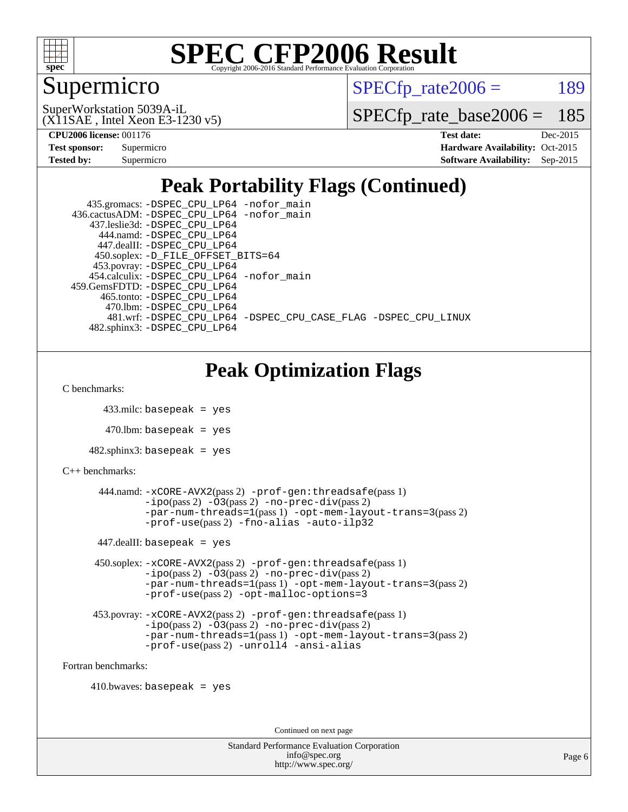

## Supermicro

 $SPECTp\_rate2006 = 189$ 

(X11SAE , Intel Xeon E3-1230 v5) SuperWorkstation 5039A-iL

[SPECfp\\_rate\\_base2006 =](http://www.spec.org/auto/cpu2006/Docs/result-fields.html#SPECfpratebase2006) 185

**[CPU2006 license:](http://www.spec.org/auto/cpu2006/Docs/result-fields.html#CPU2006license)** 001176 **[Test date:](http://www.spec.org/auto/cpu2006/Docs/result-fields.html#Testdate)** Dec-2015

| <b>Test sponsor:</b> | Supermicro |
|----------------------|------------|
| <b>Tested by:</b>    | Supermicro |

**[Hardware Availability:](http://www.spec.org/auto/cpu2006/Docs/result-fields.html#HardwareAvailability)** Oct-2015 **[Software Availability:](http://www.spec.org/auto/cpu2006/Docs/result-fields.html#SoftwareAvailability)** Sep-2015

## **[Peak Portability Flags \(Continued\)](http://www.spec.org/auto/cpu2006/Docs/result-fields.html#PeakPortabilityFlags)**

| 435.gromacs: -DSPEC_CPU_LP64 -nofor_main                       |
|----------------------------------------------------------------|
| 436.cactusADM: -DSPEC CPU LP64 -nofor main                     |
| 437.leslie3d: -DSPEC CPU LP64                                  |
| 444.namd: -DSPEC CPU LP64                                      |
| 447.dealII: -DSPEC CPU LP64                                    |
| 450.soplex: -D_FILE_OFFSET_BITS=64                             |
| 453.povray: -DSPEC_CPU_LP64                                    |
| 454.calculix: -DSPEC CPU LP64 -nofor main                      |
| 459. GemsFDTD: - DSPEC CPU LP64                                |
| 465.tonto: -DSPEC CPU LP64                                     |
| 470.1bm: - DSPEC CPU LP64                                      |
| 481.wrf: -DSPEC CPU LP64 -DSPEC CPU CASE FLAG -DSPEC CPU LINUX |
| 482.sphinx3: -DSPEC CPU LP64                                   |

## **[Peak Optimization Flags](http://www.spec.org/auto/cpu2006/Docs/result-fields.html#PeakOptimizationFlags)**

[C benchmarks](http://www.spec.org/auto/cpu2006/Docs/result-fields.html#Cbenchmarks):

```
 433.milc: basepeak = yes
```
 $470.$ lbm: basepeak = yes

```
482.sphinx3: basepeak = yes
```

```
C++ benchmarks:
```

```
 444.namd: -xCORE-AVX2(pass 2) -prof-gen:threadsafe(pass 1)
        -no-prec-div(pass 2)-par-num-threads=1(pass 1) -opt-mem-layout-trans=3(pass 2)
        -prof-use(pass 2) -fno-alias -auto-ilp32
447.dealII: basepeak = yes
 450.soplex: -xCORE-AVX2(pass 2) -prof-gen:threadsafe(pass 1)
         -ipo(pass 2) -O3(pass 2) -no-prec-div(pass 2)
         -par-num-threads=1(pass 1) -opt-mem-layout-trans=3(pass 2)
         -prof-use(pass 2) -opt-malloc-options=3
 453.povray: -xCORE-AVX2(pass 2) -prof-gen:threadsafe(pass 1)
         -no-prec-div(pass 2)-par-num-threads=1(pass 1) -opt-mem-layout-trans=3(pass 2)
         -prof-use(pass 2) -unroll4 -ansi-alias
```
[Fortran benchmarks](http://www.spec.org/auto/cpu2006/Docs/result-fields.html#Fortranbenchmarks):

 $410.bwaves: basepeak = yes$ 

Continued on next page

| <b>Standard Performance Evaluation Corporation</b> |
|----------------------------------------------------|
| info@spec.org                                      |
| http://www.spec.org/                               |